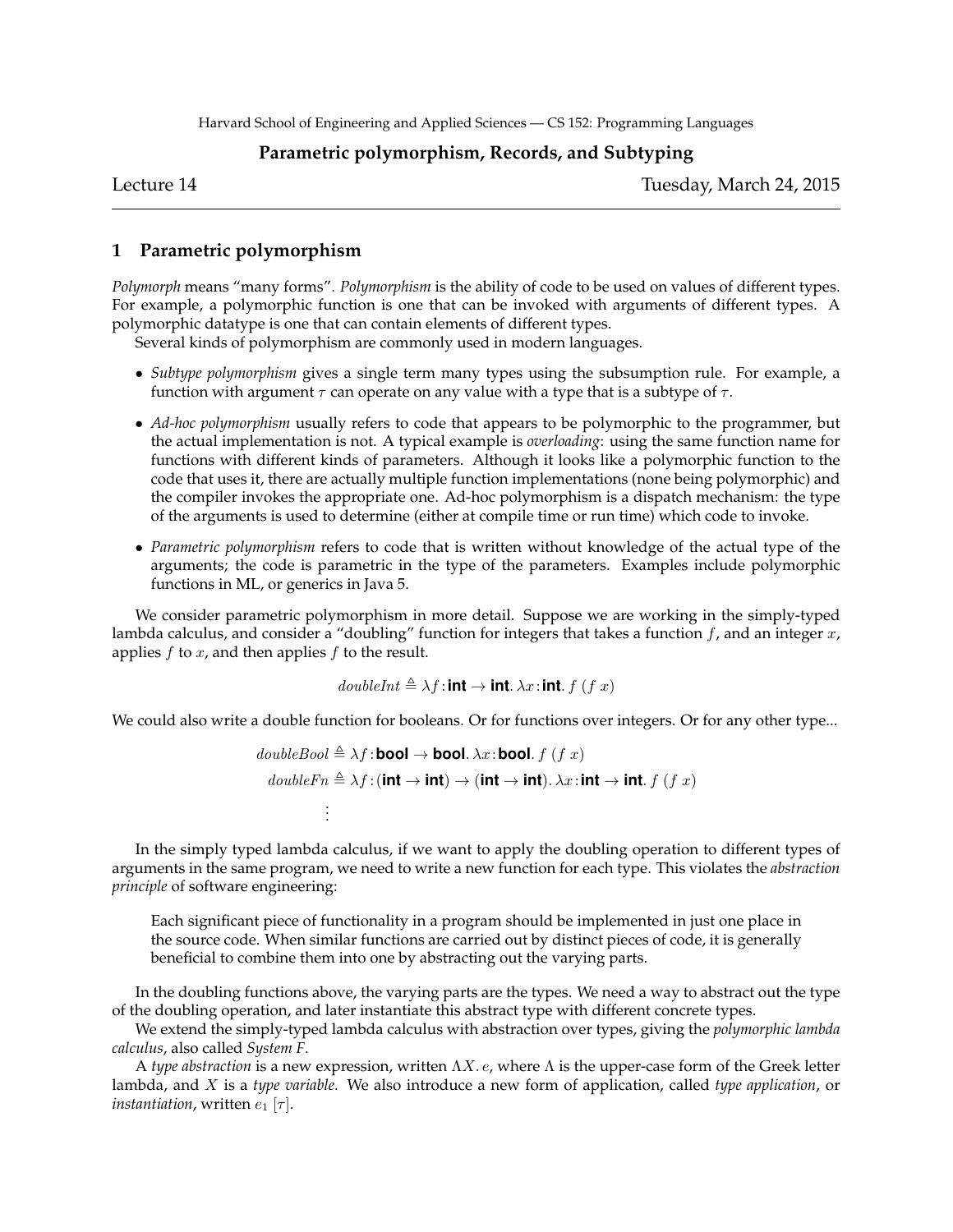## **Parametric polymorphism, Records, and Subtyping**

Lecture 14 Tuesday, March 24, 2015

# **1 Parametric polymorphism**

*Polymorph* means "many forms". *Polymorphism* is the ability of code to be used on values of different types. For example, a polymorphic function is one that can be invoked with arguments of different types. A polymorphic datatype is one that can contain elements of different types.

Several kinds of polymorphism are commonly used in modern languages.

- *Subtype polymorphism* gives a single term many types using the subsumption rule. For example, a function with argument  $\tau$  can operate on any value with a type that is a subtype of  $\tau$ .
- *Ad-hoc polymorphism* usually refers to code that appears to be polymorphic to the programmer, but the actual implementation is not. A typical example is *overloading*: using the same function name for functions with different kinds of parameters. Although it looks like a polymorphic function to the code that uses it, there are actually multiple function implementations (none being polymorphic) and the compiler invokes the appropriate one. Ad-hoc polymorphism is a dispatch mechanism: the type of the arguments is used to determine (either at compile time or run time) which code to invoke.
- *Parametric polymorphism* refers to code that is written without knowledge of the actual type of the arguments; the code is parametric in the type of the parameters. Examples include polymorphic functions in ML, or generics in Java 5.

We consider parametric polymorphism in more detail. Suppose we are working in the simply-typed lambda calculus, and consider a "doubling" function for integers that takes a function  $f$ , and an integer  $x$ , applies  $f$  to  $x$ , and then applies  $f$  to the result.

 $doubleInt \triangleq \lambda f$ : **int**  $\rightarrow$  **int**.  $\lambda x$ : **int**.  $f(f x)$ 

We could also write a double function for booleans. Or for functions over integers. Or for any other type...

$$
doubleBool \triangleq \lambda f : \text{bool} \rightarrow \text{bool.} \lambda x : \text{bool.} \ f \ (f \ x)
$$
\n
$$
doubleFn \triangleq \lambda f : (\text{int} \rightarrow \text{int}) \rightarrow (\text{int} \rightarrow \text{int}). \lambda x : \text{int} \rightarrow \text{int}. \ f \ (f \ x)
$$
\n
$$
\vdots
$$

In the simply typed lambda calculus, if we want to apply the doubling operation to different types of arguments in the same program, we need to write a new function for each type. This violates the *abstraction principle* of software engineering:

Each significant piece of functionality in a program should be implemented in just one place in the source code. When similar functions are carried out by distinct pieces of code, it is generally beneficial to combine them into one by abstracting out the varying parts.

In the doubling functions above, the varying parts are the types. We need a way to abstract out the type of the doubling operation, and later instantiate this abstract type with different concrete types.

We extend the simply-typed lambda calculus with abstraction over types, giving the *polymorphic lambda calculus*, also called *System F*.

A *type abstraction* is a new expression, written  $\Lambda X$ . *e*, where  $\Lambda$  is the upper-case form of the Greek letter lambda, and X is a *type variable*. We also introduce a new form of application, called *type application*, or *instantiation*, written  $e_1$  [ $\tau$ ].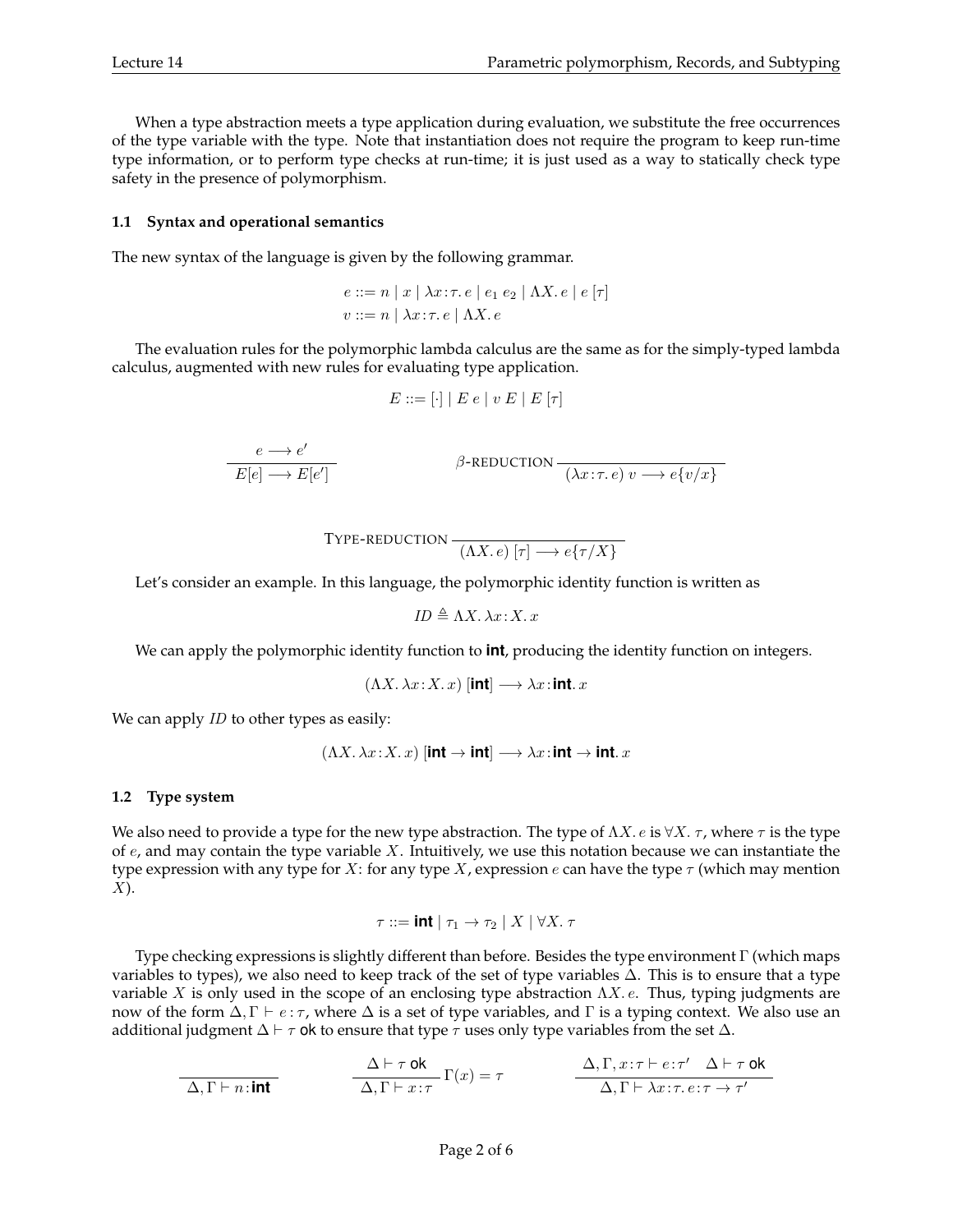When a type abstraction meets a type application during evaluation, we substitute the free occurrences of the type variable with the type. Note that instantiation does not require the program to keep run-time type information, or to perform type checks at run-time; it is just used as a way to statically check type safety in the presence of polymorphism.

### **1.1 Syntax and operational semantics**

The new syntax of the language is given by the following grammar.

$$
e ::= n | x | \lambda x : \tau. e | e_1 e_2 | \Lambda X. e | e [\tau]
$$
  

$$
v ::= n | \lambda x : \tau. e | \Lambda X. e
$$

The evaluation rules for the polymorphic lambda calculus are the same as for the simply-typed lambda calculus, augmented with new rules for evaluating type application.

$$
E ::= [\cdot] | E e | v E | E [\tau]
$$

$$
\frac{e \longrightarrow e'}{E[e] \longrightarrow E[e']}
$$
\n
$$
\beta
$$
-REDUCTION\n
$$
\frac{}{(\lambda x : \tau e) v \longrightarrow e\{v/x\}}
$$

$$
\text{Type-reduction} \xrightarrow{(\Lambda X. e) [\tau] \longrightarrow e\{\tau/X\}}
$$

Let's consider an example. In this language, the polymorphic identity function is written as

$$
ID \triangleq \Lambda X. \lambda x: X. x
$$

We can apply the polymorphic identity function to **int**, producing the identity function on integers.

$$
(\Lambda X. \lambda x: X. x) \text{ [int]} \longrightarrow \lambda x: \text{int. } x
$$

We can apply *ID* to other types as easily:

$$
(\Lambda X.\,\lambda x\!:\!X.\,x)\:[\mathbf{int}\to\mathbf{int}]\longrightarrow\lambda x\!:\!\mathbf{int}\to\mathbf{int}.\,x
$$

### **1.2 Type system**

We also need to provide a type for the new type abstraction. The type of  $\Lambda X$ . *e* is  $\forall X$ .  $\tau$ , where  $\tau$  is the type of  $e$ , and may contain the type variable X. Intuitively, we use this notation because we can instantiate the type expression with any type for X: for any type X, expression  $e$  can have the type  $\tau$  (which may mention  $X$ ).

$$
\tau ::= \textbf{int} \mid \tau_1 \rightarrow \tau_2 \mid X \mid \forall X.~\tau
$$

Type checking expressions is slightly different than before. Besides the type environment Γ (which maps variables to types), we also need to keep track of the set of type variables ∆. This is to ensure that a type variable X is only used in the scope of an enclosing type abstraction  $\Lambda X$ . e. Thus, typing judgments are now of the form  $\Delta, \Gamma \vdash e : \tau$ , where  $\Delta$  is a set of type variables, and Γ is a typing context. We also use an additional judgment  $\Delta \vdash \tau$  ok to ensure that type  $\tau$  uses only type variables from the set  $\Delta$ .

$$
\frac{\Delta \vdash \tau \text{ ok}}{\Delta, \Gamma \vdash n : \text{int}} \qquad \frac{\Delta \vdash \tau \text{ ok}}{\Delta, \Gamma \vdash x : \tau} \Gamma(x) = \tau \qquad \frac{\Delta, \Gamma, x : \tau \vdash e : \tau' \quad \Delta \vdash \tau \text{ ok}}{\Delta, \Gamma \vdash \lambda x : \tau. e : \tau \to \tau'}
$$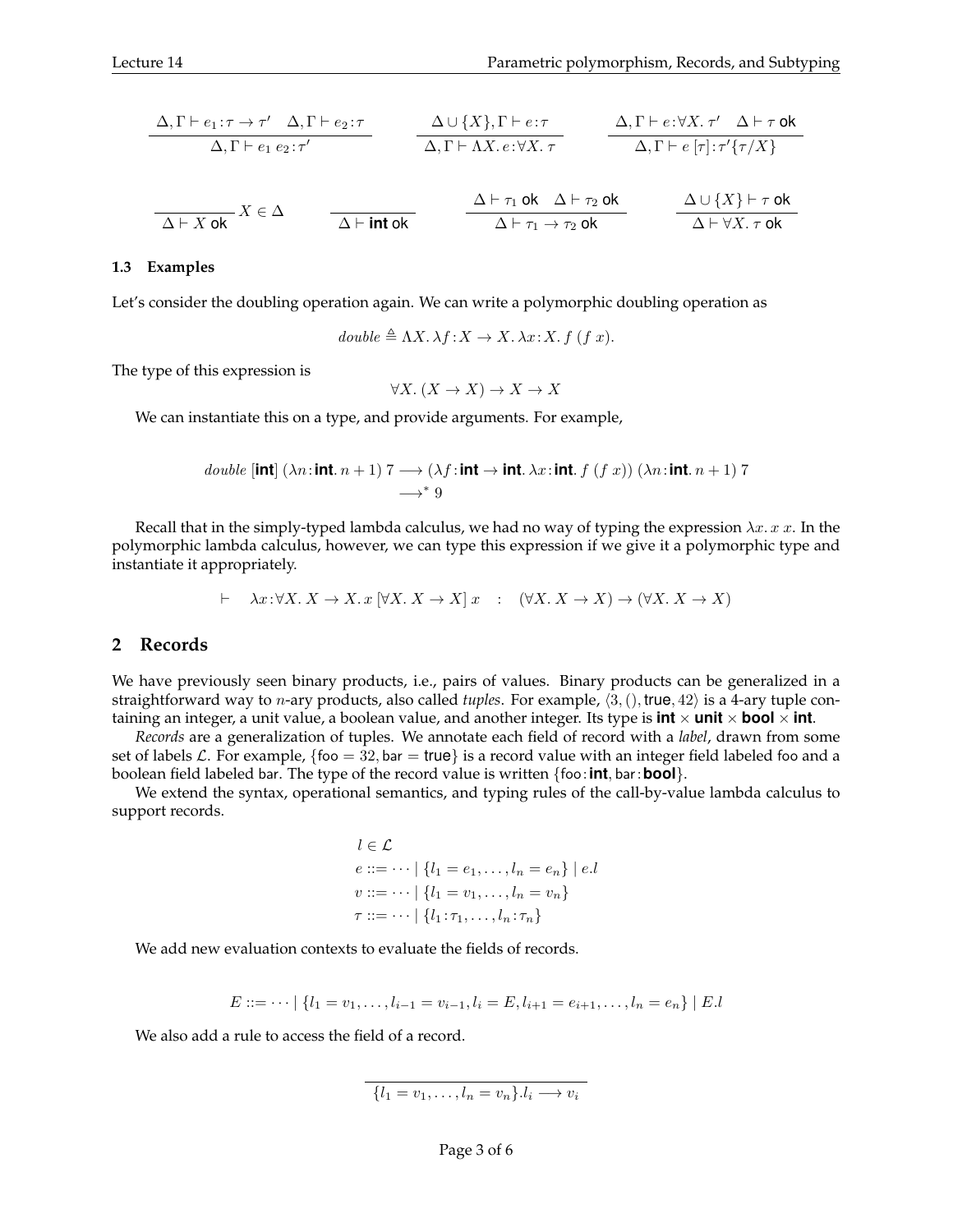$$
\frac{\Delta, \Gamma \vdash e_1 : \tau \to \tau' \quad \Delta, \Gamma \vdash e_2 : \tau}{\Delta, \Gamma \vdash e_1 \cdot e_2 : \tau'} \qquad \frac{\Delta \cup \{X\}, \Gamma \vdash e : \tau}{\Delta, \Gamma \vdash \Lambda X. e : \forall X. \tau} \qquad \frac{\Delta, \Gamma \vdash e : \forall X. \tau' \quad \Delta \vdash \tau \text{ ok}}{\Delta, \Gamma \vdash e \ [\tau] : \tau' \{\tau/X\}}
$$

$$
\frac{\Delta \vdash X \text{ ok}}{\Delta \vdash X \text{ ok}} X \in \Delta
$$
\n
$$
\frac{\Delta \vdash \tau_1 \text{ ok}}{\Delta \vdash \tau_1 \rightarrow \tau_2 \text{ ok}}
$$
\n
$$
\frac{\Delta \cup \{X\} \vdash \tau \text{ ok}}{\Delta \vdash \forall X. \tau \text{ ok}}
$$

#### **1.3 Examples**

Let's consider the doubling operation again. We can write a polymorphic doubling operation as

$$
double \triangleq \Lambda X. \lambda f: X \to X. \lambda x: X. f(f x).
$$

The type of this expression is

$$
\forall X. (X \to X) \to X \to X
$$

We can instantiate this on a type, and provide arguments. For example,

double **[int]** 
$$
(\lambda n : \text{int. } n + 1) 7 \longrightarrow (\lambda f : \text{int. } \lambda x : \text{int. } f(f x)) (\lambda n : \text{int. } n + 1) 7
$$
  
 $\longrightarrow^* 9$ 

Recall that in the simply-typed lambda calculus, we had no way of typing the expression  $\lambda x. x x$ . In the polymorphic lambda calculus, however, we can type this expression if we give it a polymorphic type and instantiate it appropriately.

 $\vdash \quad \lambda x: \forall X. \ X \to X. \ x \ [\forall X. \ X \to X] \ x \ : \ (\forall X. \ X \to X) \to (\forall X. \ X \to X)$ 

### **2 Records**

We have previously seen binary products, i.e., pairs of values. Binary products can be generalized in a straightforward way to *n*-ary products, also called *tuples*. For example,  $\langle 3, ( )$ , true,  $42 \rangle$  is a 4-ary tuple containing an integer, a unit value, a boolean value, and another integer. Its type is **int**  $\times$  **unit**  $\times$  **bool**  $\times$  **int**.

*Records* are a generalization of tuples. We annotate each field of record with a *label*, drawn from some set of labels L. For example, {foo =  $32$ , bar = true} is a record value with an integer field labeled foo and a boolean field labeled bar. The type of the record value is written {foo:**int**, bar:**bool**}.

We extend the syntax, operational semantics, and typing rules of the call-by-value lambda calculus to support records.

$$
l \in \mathcal{L}
$$
  

$$
e ::= \dots | \{l_1 = e_1, \dots, l_n = e_n\} | e.l
$$
  

$$
v ::= \dots | \{l_1 = v_1, \dots, l_n = v_n\}
$$
  

$$
\tau ::= \dots | \{l_1 : \tau_1, \dots, l_n : \tau_n\}
$$

We add new evaluation contexts to evaluate the fields of records.

$$
E ::= \dots \mid \{l_1 = v_1, \dots, l_{i-1} = v_{i-1}, l_i = E, l_{i+1} = e_{i+1}, \dots, l_n = e_n\} \mid E.l
$$

We also add a rule to access the field of a record.

$$
\{l_1 = v_1, \ldots, l_n = v_n\}.\mathit{l}_i \longrightarrow v_i
$$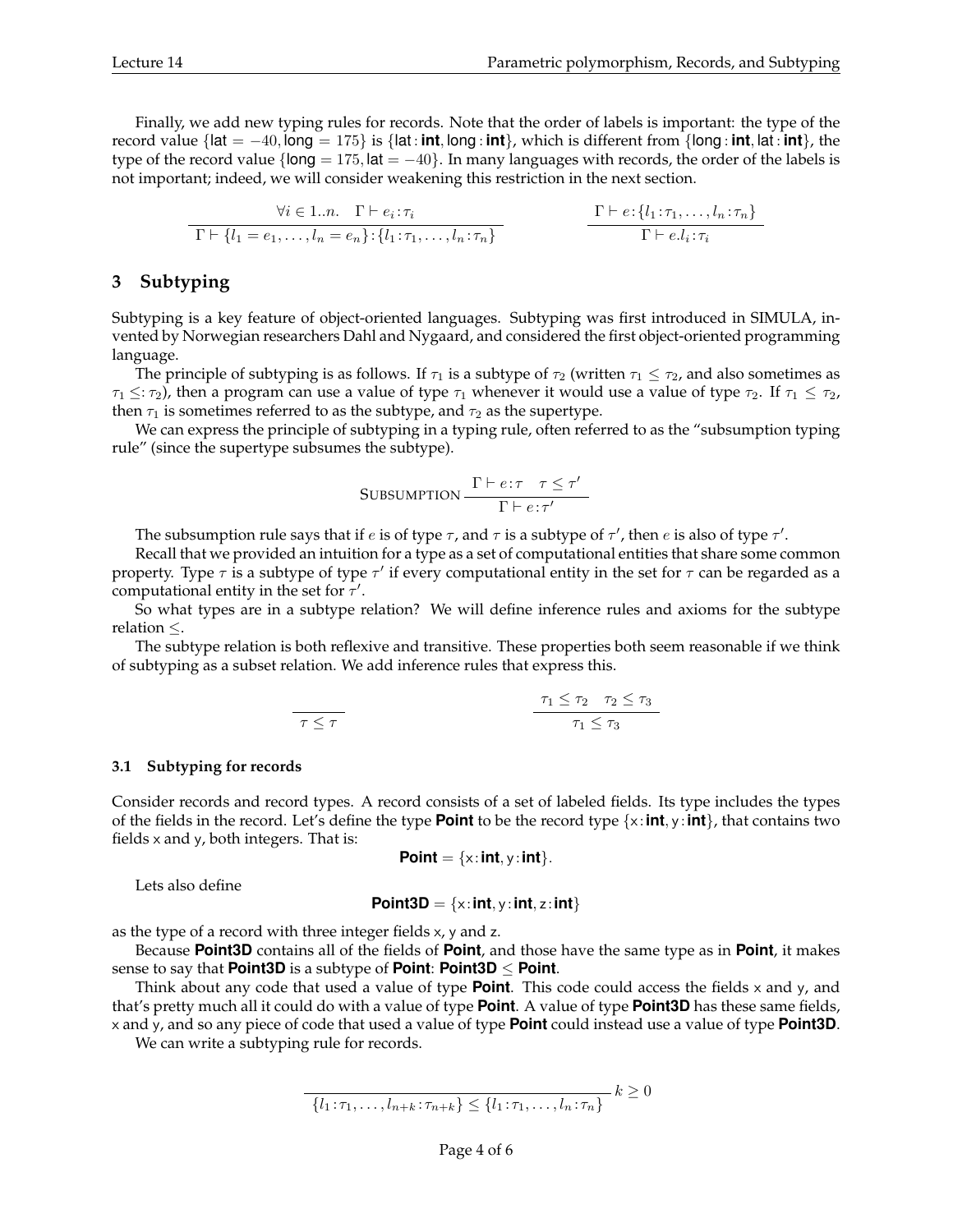Finally, we add new typing rules for records. Note that the order of labels is important: the type of the record value  $\{$ lat =  $-40$ ,  $\log_2 175$ } is  $\{$ lat: **int**,  $\log_2 1$ **int** $\}$ , which is different from  $\{$ long: **int**, lat: **int** $\}$ , the type of the record value { $\text{long} = 175$ ,  $\text{lat} = -40$ }. In many languages with records, the order of the labels is not important; indeed, we will consider weakening this restriction in the next section.

$$
\frac{\forall i \in 1..n. \quad \Gamma \vdash e_i : \tau_i}{\Gamma \vdash \{l_1 = e_1, \dots, l_n = e_n\} : \{l_1 : \tau_1, \dots, l_n : \tau_n\}} \qquad \qquad \frac{\Gamma \vdash e : \{l_1 : \tau_1, \dots, l_n : \tau_n\}}{\Gamma \vdash e.l_i : \tau_i}
$$

## **3 Subtyping**

Subtyping is a key feature of object-oriented languages. Subtyping was first introduced in SIMULA, invented by Norwegian researchers Dahl and Nygaard, and considered the first object-oriented programming language.

The principle of subtyping is as follows. If  $\tau_1$  is a subtype of  $\tau_2$  (written  $\tau_1 \leq \tau_2$ , and also sometimes as  $\tau_1 \leq \tau_2$ ), then a program can use a value of type  $\tau_1$  whenever it would use a value of type  $\tau_2$ . If  $\tau_1 \leq \tau_2$ , then  $\tau_1$  is sometimes referred to as the subtype, and  $\tau_2$  as the supertype.

We can express the principle of subtyping in a typing rule, often referred to as the "subsumption typing rule" (since the supertype subsumes the subtype).

$$
\text{SUBSUMPTION} \frac{\Gamma \vdash e \colon \tau \quad \tau \le \tau'}{\Gamma \vdash e \colon \tau'}
$$

The subsumption rule says that if  $e$  is of type  $\tau$ , and  $\tau$  is a subtype of  $\tau'$ , then  $e$  is also of type  $\tau'$ .

Recall that we provided an intuition for a type as a set of computational entities that share some common property. Type  $\tau$  is a subtype of type  $\tau'$  if every computational entity in the set for  $\tau$  can be regarded as a computational entity in the set for  $\tau'$ .

So what types are in a subtype relation? We will define inference rules and axioms for the subtype relation  $\leq$ .

The subtype relation is both reflexive and transitive. These properties both seem reasonable if we think of subtyping as a subset relation. We add inference rules that express this.

$$
\tau \leq \tau
$$
\n
$$
\tau \leq \tau_2
$$
\n
$$
\tau_1 \leq \tau_2
$$
\n
$$
\tau_1 \leq \tau_3
$$

#### **3.1 Subtyping for records**

Consider records and record types. A record consists of a set of labeled fields. Its type includes the types of the fields in the record. Let's define the type **Point** to be the record type {x :**int**, y :**int**}, that contains two fields x and y, both integers. That is:

$$
Point = \{x : int, y : int\}.
$$

Lets also define

$$
Point3D = \{x: int, y: int, z: int\}
$$

as the type of a record with three integer fields x, y and z.

Because **Point3D** contains all of the fields of **Point**, and those have the same type as in **Point**, it makes sense to say that **Point3D** is a subtype of **Point**: **Point3D**  $\leq$  **Point**.

Think about any code that used a value of type **Point**. This code could access the fields x and y, and that's pretty much all it could do with a value of type **Point**. A value of type **Point3D** has these same fields, x and y, and so any piece of code that used a value of type **Point** could instead use a value of type **Point3D**.

We can write a subtyping rule for records.

$$
\overline{\{l_1:\tau_1,\ldots,l_{n+k}:\tau_{n+k}\}} \leq \overline{\{l_1:\tau_1,\ldots,l_n:\tau_n\}} \; k \geq 0
$$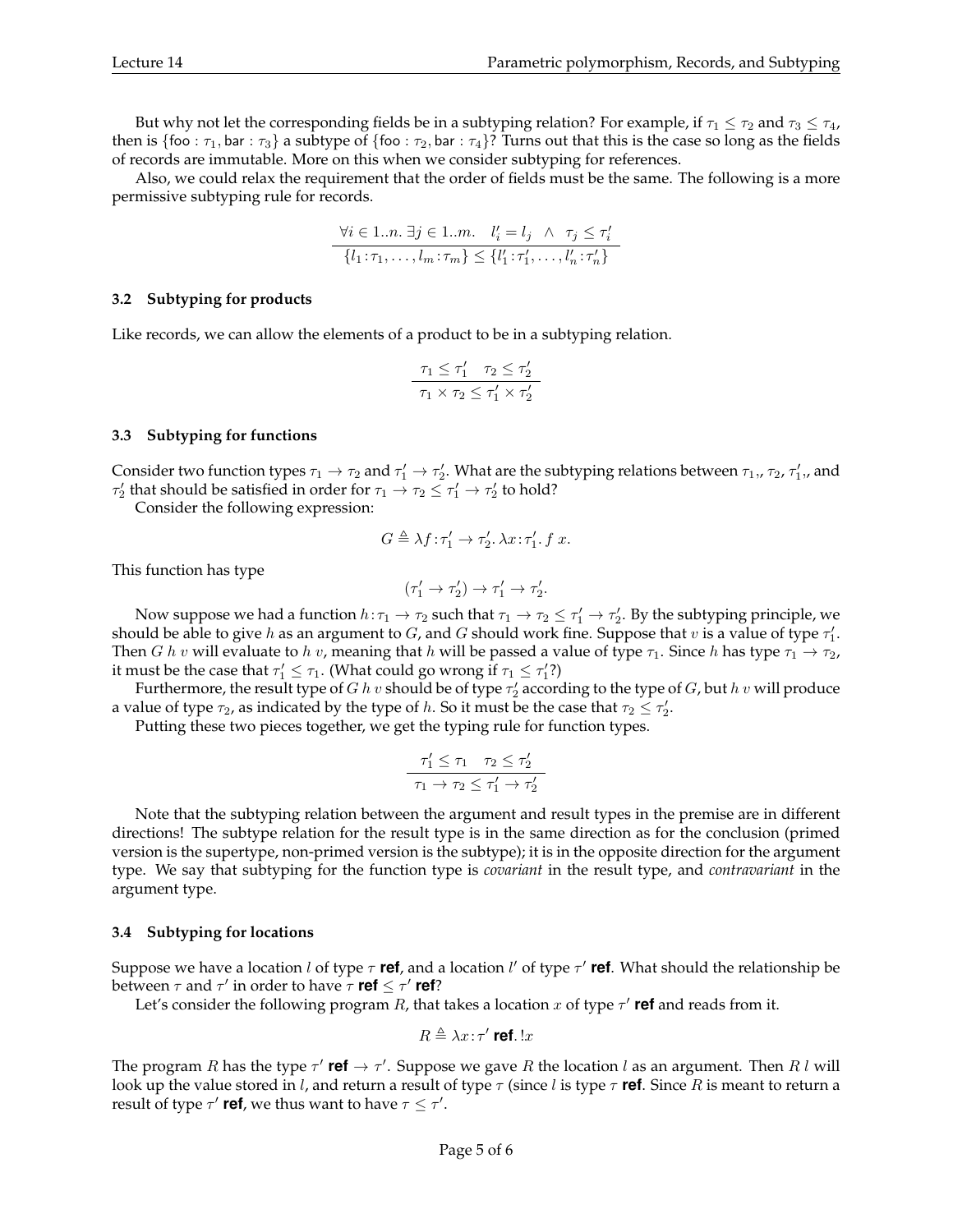But why not let the corresponding fields be in a subtyping relation? For example, if  $\tau_1 \leq \tau_2$  and  $\tau_3 \leq \tau_4$ , then is {foo :  $\tau_1$ , bar :  $\tau_3$ } a subtype of {foo :  $\tau_2$ , bar :  $\tau_4$ }? Turns out that this is the case so long as the fields of records are immutable. More on this when we consider subtyping for references.

Also, we could relax the requirement that the order of fields must be the same. The following is a more permissive subtyping rule for records.

$$
\forall i \in 1...n. \exists j \in 1...m. \quad l'_i = l_j \quad \land \quad \tau_j \le \tau'_i
$$

$$
\{l_1: \tau_1, \dots, l_m: \tau_m\} \le \{l'_1: \tau'_1, \dots, l'_n: \tau'_n\}
$$

### **3.2 Subtyping for products**

Like records, we can allow the elements of a product to be in a subtyping relation.

$$
\frac{\tau_1 \leq \tau_1' \quad \tau_2 \leq \tau_2'}{\tau_1 \times \tau_2 \leq \tau_1' \times \tau_2'}
$$

### **3.3 Subtyping for functions**

Consider two function types  $\tau_1\to\tau_2$  and  $\tau'_1\to\tau'_2$ . What are the subtyping relations between  $\tau_1,$ ,  $\tau_2$ ,  $\tau'_1,$ , and  $\tau'_2$  that should be satisfied in order for  $\tau_1 \to \tau_2 \leq \tau'_1 \to \tau'_2$  to hold?

Consider the following expression:

$$
G\triangleq \lambda f\!:\!\tau_1'\rightarrow \tau_2'.\,\lambda x\!:\!\tau_1'.\,f\,\,x.
$$

This function has type

$$
(\tau_1' \rightarrow \tau_2') \rightarrow \tau_1' \rightarrow \tau_2'.
$$

Now suppose we had a function  $h:\tau_1\to\tau_2$  such that  $\tau_1\to\tau_2\leq\tau_1'\to\tau_2'$ . By the subtyping principle, we should be able to give h as an argument to G, and G should work fine. Suppose that  $v$  is a value of type  $\tau_1'.$ Then G h v will evaluate to h v, meaning that h will be passed a value of type  $\tau_1$ . Since h has type  $\tau_1 \to \tau_2$ , it must be the case that  $\tau'_1 \leq \tau_1$ . (What could go wrong if  $\tau_1 \leq \tau'_1$ ?)

Furthermore, the result type of  $G$   $h$   $v$  should be of type  $\tau'_2$  according to the type of  $G$ , but  $h$   $v$  will produce a value of type  $\tau_2$ , as indicated by the type of h. So it must be the case that  $\tau_2 \leq \tau_2'.$ 

Putting these two pieces together, we get the typing rule for function types.

$$
\frac{\tau_1' \le \tau_1 \quad \tau_2 \le \tau_2'}{\tau_1 \to \tau_2 \le \tau_1' \to \tau_2'}
$$

Note that the subtyping relation between the argument and result types in the premise are in different directions! The subtype relation for the result type is in the same direction as for the conclusion (primed version is the supertype, non-primed version is the subtype); it is in the opposite direction for the argument type. We say that subtyping for the function type is *covariant* in the result type, and *contravariant* in the argument type.

### **3.4 Subtyping for locations**

Suppose we have a location *l* of type τ **ref**, and a location *l'* of type τ' **ref**. What should the relationship be between  $\tau$  and  $\tau'$  in order to have  $\tau$  **ref**  $\leq \tau'$  **ref**?

Let's consider the following program  $R$ , that takes a location  $x$  of type  $\tau'$  **ref** and reads from it.

$$
R\triangleq \lambda x\!:\!\tau'\ \text{ref.}\ !x
$$

The program R has the type  $\tau'$  **ref**  $\to \tau'$ . Suppose we gave R the location l as an argument. Then R l will look up the value stored in l, and return a result of type τ (since l is type τ **ref**. Since R is meant to return a result of type  $\tau'$  **ref**, we thus want to have  $\tau \leq \tau'$ .